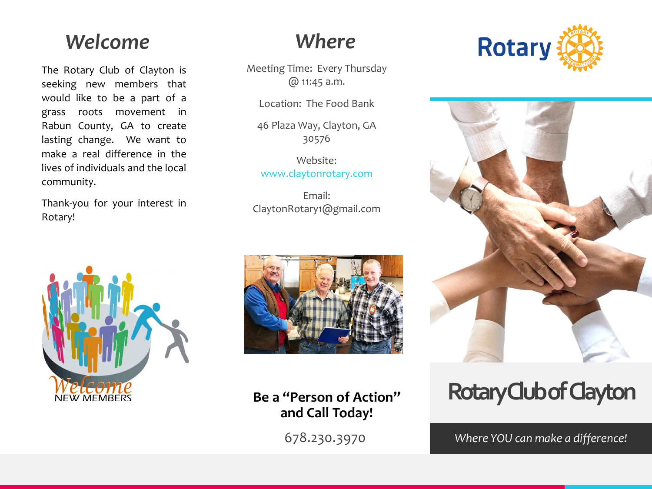#### *Welcome*

The Rotary Club of Clayton is seeking new members that would like to be a part of a grass roots movement in Rabun County, GA to create lasting change. We want to make a real difference in the lives of individuals and the local community.

Thank-you for your interest in Rotary!



#### *Where*

Meeting Time: Every Thursday @ 11:45 a.m.

Location: The Food Bank

46 Plaza Way, Clayton, GA 30576

Website: [www.claytonrotary.com](http://www.claytonrotary.com/)

Email: ClaytonRotary1@gmail.com



**Be a "Person of Action" and Call Today!**

678.230.3970





# **Rotary Club of Clayton**

*Where YOU can make a difference!*